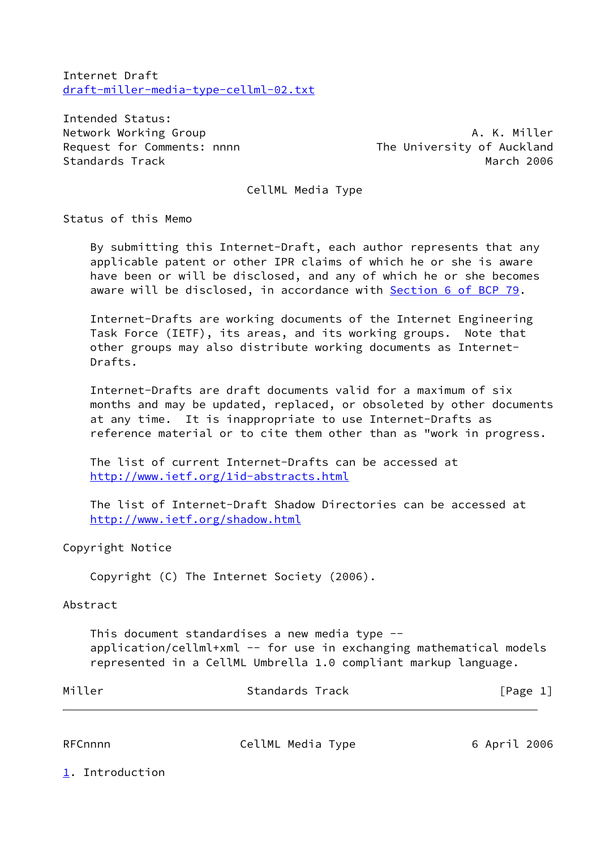Internet Draft [draft-miller-media-type-cellml-02.txt](https://datatracker.ietf.org/doc/pdf/draft-miller-media-type-cellml-02.txt)

Intended Status: Network Working Group **A. K. Miller** Standards Track and the Communication of the March 2006

Request for Comments: nnnn<br>
The University of Auckland

CellML Media Type

Status of this Memo

 By submitting this Internet-Draft, each author represents that any applicable patent or other IPR claims of which he or she is aware have been or will be disclosed, and any of which he or she becomes aware will be disclosed, in accordance with Section [6 of BCP 79](https://datatracker.ietf.org/doc/pdf/bcp79#section-6).

 Internet-Drafts are working documents of the Internet Engineering Task Force (IETF), its areas, and its working groups. Note that other groups may also distribute working documents as Internet- Drafts.

 Internet-Drafts are draft documents valid for a maximum of six months and may be updated, replaced, or obsoleted by other documents at any time. It is inappropriate to use Internet-Drafts as reference material or to cite them other than as "work in progress.

 The list of current Internet-Drafts can be accessed at <http://www.ietf.org/1id-abstracts.html>

 The list of Internet-Draft Shadow Directories can be accessed at <http://www.ietf.org/shadow.html>

#### Copyright Notice

Copyright (C) The Internet Society (2006).

#### Abstract

 This document standardises a new media type - application/cellml+xml -- for use in exchanging mathematical models represented in a CellML Umbrella 1.0 compliant markup language.

| Miller  | Standards Track   | [Page 1]     |
|---------|-------------------|--------------|
|         |                   |              |
| RFCnnnn | CellML Media Type | 6 April 2006 |

<span id="page-0-0"></span>[1](#page-0-0). Introduction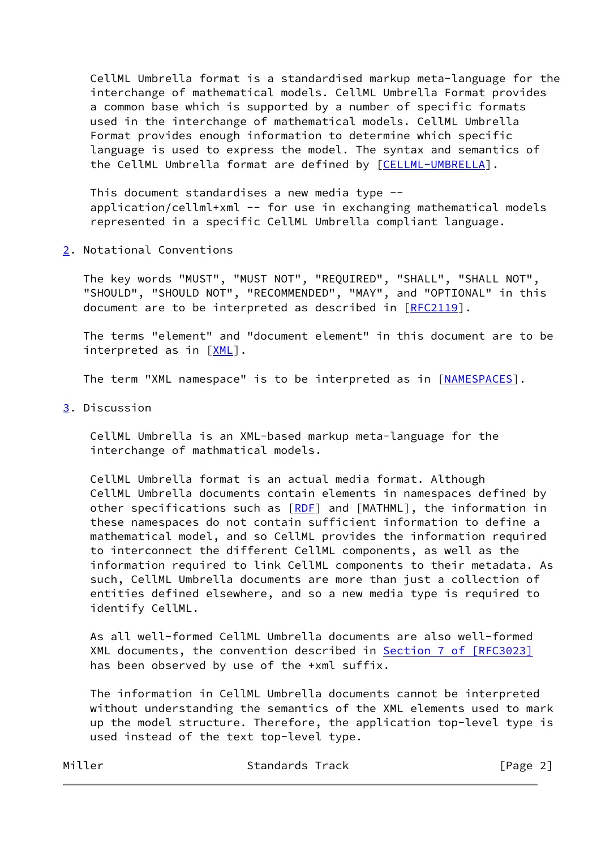CellML Umbrella format is a standardised markup meta-language for the interchange of mathematical models. CellML Umbrella Format provides a common base which is supported by a number of specific formats used in the interchange of mathematical models. CellML Umbrella Format provides enough information to determine which specific language is used to express the model. The syntax and semantics of the CellML Umbrella format are defined by [[CELLML-UMBRELLA\]](#page-4-0).

 This document standardises a new media type - application/cellml+xml -- for use in exchanging mathematical models represented in a specific CellML Umbrella compliant language.

<span id="page-1-0"></span>[2](#page-1-0). Notational Conventions

 The key words "MUST", "MUST NOT", "REQUIRED", "SHALL", "SHALL NOT", "SHOULD", "SHOULD NOT", "RECOMMENDED", "MAY", and "OPTIONAL" in this document are to be interpreted as described in [\[RFC2119](https://datatracker.ietf.org/doc/pdf/rfc2119)].

 The terms "element" and "document element" in this document are to be interpreted as in [[XML](#page-5-0)].

The term "XML namespace" is to be interpreted as in [\[NAMESPACES\]](#page-4-1).

<span id="page-1-1"></span>[3](#page-1-1). Discussion

 CellML Umbrella is an XML-based markup meta-language for the interchange of mathmatical models.

 CellML Umbrella format is an actual media format. Although CellML Umbrella documents contain elements in namespaces defined by other specifications such as [[RDF](#page-5-1)] and [MATHML], the information in these namespaces do not contain sufficient information to define a mathematical model, and so CellML provides the information required to interconnect the different CellML components, as well as the information required to link CellML components to their metadata. As such, CellML Umbrella documents are more than just a collection of entities defined elsewhere, and so a new media type is required to identify CellML.

 As all well-formed CellML Umbrella documents are also well-formed XML documents, the convention described in Section [7 of \[RFC3023\]](https://datatracker.ietf.org/doc/pdf/rfc3023#section-7) has been observed by use of the +xml suffix.

 The information in CellML Umbrella documents cannot be interpreted without understanding the semantics of the XML elements used to mark up the model structure. Therefore, the application top-level type is used instead of the text top-level type.

| Standards Track | [Page 2] |
|-----------------|----------|
|                 |          |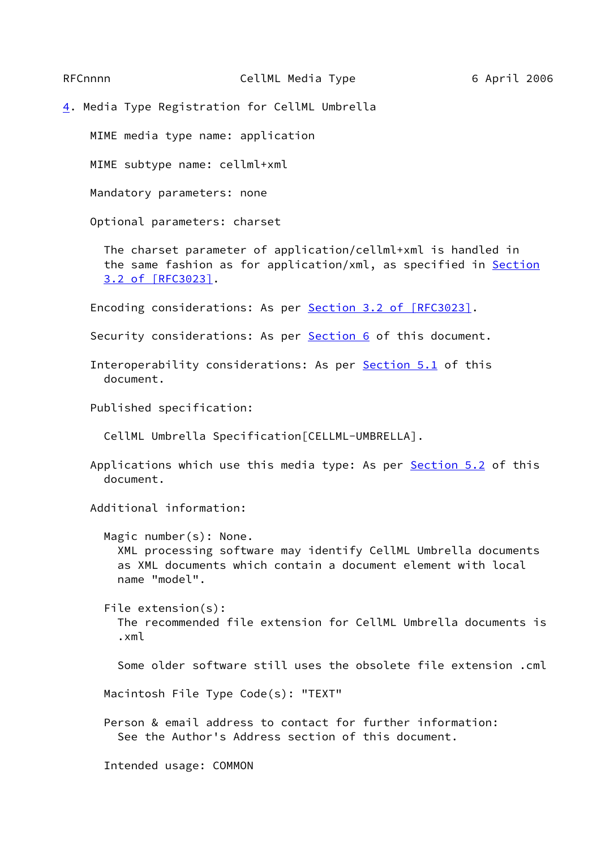<span id="page-2-0"></span>[4](#page-2-0). Media Type Registration for CellML Umbrella

MIME media type name: application

MIME subtype name: cellml+xml

Mandatory parameters: none

Optional parameters: charset

 The charset parameter of application/cellml+xml is handled in the same fashion as for application/xml, as specified in [Section](https://datatracker.ietf.org/doc/pdf/rfc3023#section-3.2) [3.2 of \[RFC3023\].](https://datatracker.ietf.org/doc/pdf/rfc3023#section-3.2)

Encoding considerations: As per Section [3.2 of \[RFC3023\]](https://datatracker.ietf.org/doc/pdf/rfc3023#section-3.2).

Security considerations: As per **Section 6** of this document.

Interoperability considerations: As per **Section 5.1** of this document.

Published specification:

CellML Umbrella Specification[CELLML-UMBRELLA].

Applications which use this media type: As per **Section 5.2** of this document.

Additional information:

 Magic number(s): None. XML processing software may identify CellML Umbrella documents as XML documents which contain a document element with local name "model".

 File extension(s): The recommended file extension for CellML Umbrella documents is .xml

Some older software still uses the obsolete file extension .cml

Macintosh File Type Code(s): "TEXT"

 Person & email address to contact for further information: See the Author's Address section of this document.

Intended usage: COMMON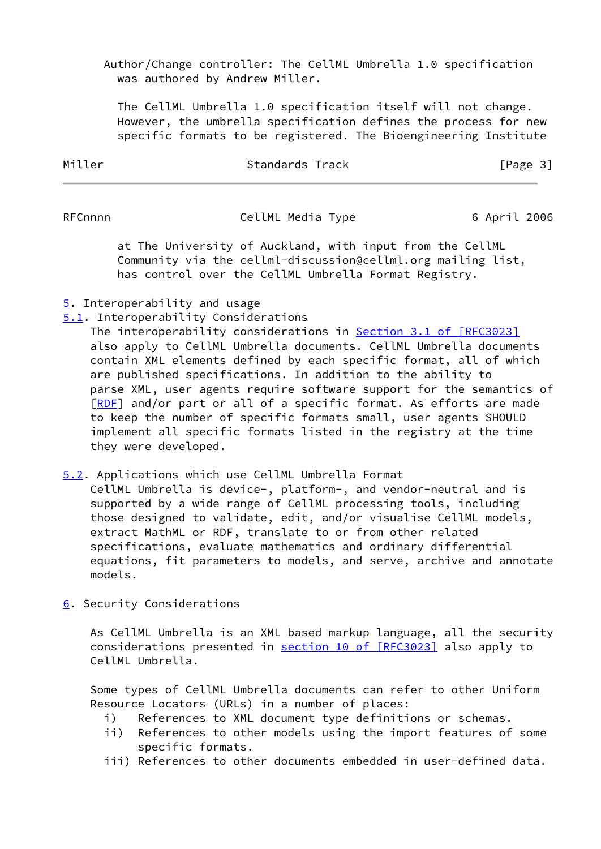Author/Change controller: The CellML Umbrella 1.0 specification was authored by Andrew Miller.

 The CellML Umbrella 1.0 specification itself will not change. However, the umbrella specification defines the process for new specific formats to be registered. The Bioengineering Institute

| Miller | Standards Track | [Page 3] |
|--------|-----------------|----------|
|        |                 |          |

RFCnnnn CellML Media Type 6 April 2006

 at The University of Auckland, with input from the CellML Community via the cellml-discussion@cellml.org mailing list, has control over the CellML Umbrella Format Registry.

# <span id="page-3-3"></span>[5](#page-3-3). Interoperability and usage

<span id="page-3-1"></span>[5.1](#page-3-1). Interoperability Considerations

 The interoperability considerations in Section [3.1 of \[RFC3023\]](https://datatracker.ietf.org/doc/pdf/rfc3023#section-3.1) also apply to CellML Umbrella documents. CellML Umbrella documents contain XML elements defined by each specific format, all of which are published specifications. In addition to the ability to parse XML, user agents require software support for the semantics of [\[RDF](#page-5-1)] and/or part or all of a specific format. As efforts are made to keep the number of specific formats small, user agents SHOULD implement all specific formats listed in the registry at the time they were developed.

## <span id="page-3-2"></span>[5.2](#page-3-2). Applications which use CellML Umbrella Format

 CellML Umbrella is device-, platform-, and vendor-neutral and is supported by a wide range of CellML processing tools, including those designed to validate, edit, and/or visualise CellML models, extract MathML or RDF, translate to or from other related specifications, evaluate mathematics and ordinary differential equations, fit parameters to models, and serve, archive and annotate models.

<span id="page-3-0"></span>[6](#page-3-0). Security Considerations

 As CellML Umbrella is an XML based markup language, all the security considerations presented in section [10 of \[RFC3023\]](https://datatracker.ietf.org/doc/pdf/rfc3023#section-10) also apply to CellML Umbrella.

 Some types of CellML Umbrella documents can refer to other Uniform Resource Locators (URLs) in a number of places:

- i) References to XML document type definitions or schemas.
- ii) References to other models using the import features of some specific formats.
- iii) References to other documents embedded in user-defined data.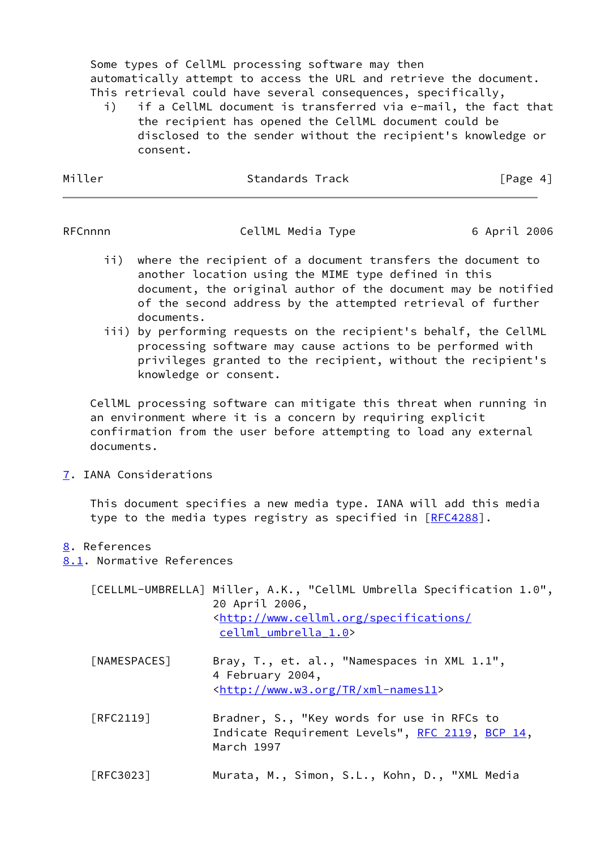Some types of CellML processing software may then automatically attempt to access the URL and retrieve the document. This retrieval could have several consequences, specifically,

 i) if a CellML document is transferred via e-mail, the fact that the recipient has opened the CellML document could be disclosed to the sender without the recipient's knowledge or consent.

| Miller | Standards Track | [Page 4] |
|--------|-----------------|----------|
|        |                 |          |

RFCnnnn CellML Media Type 6 April 2006

- ii) where the recipient of a document transfers the document to another location using the MIME type defined in this document, the original author of the document may be notified of the second address by the attempted retrieval of further documents.
- iii) by performing requests on the recipient's behalf, the CellML processing software may cause actions to be performed with privileges granted to the recipient, without the recipient's knowledge or consent.

 CellML processing software can mitigate this threat when running in an environment where it is a concern by requiring explicit confirmation from the user before attempting to load any external documents.

<span id="page-4-2"></span>[7](#page-4-2). IANA Considerations

 This document specifies a new media type. IANA will add this media type to the media types registry as specified in [[RFC4288](https://datatracker.ietf.org/doc/pdf/rfc4288)].

## <span id="page-4-3"></span>[8](#page-4-3). References

<span id="page-4-4"></span>[8.1](#page-4-4). Normative References

<span id="page-4-1"></span><span id="page-4-0"></span>

|              | [CELLML-UMBRELLA] Miller, A.K., "CellML Umbrella Specification 1.0",<br>20 April 2006,<br><http: <br="" specifications="" www.cellml.org="">cellml umbrella 1.0&gt;</http:> |
|--------------|-----------------------------------------------------------------------------------------------------------------------------------------------------------------------------|
| [NAMESPACES] | Bray, T., et. al., "Namespaces in XML 1.1",<br>4 February 2004,<br><http: tr="" www.w3.org="" xml-names11=""></http:>                                                       |
| [RFC2119]    | Bradner, S., "Key words for use in RFCs to<br>Indicate Requirement Levels", RFC 2119, BCP 14,<br>March 1997                                                                 |

[RFC3023] Murata, M., Simon, S.L., Kohn, D., "XML Media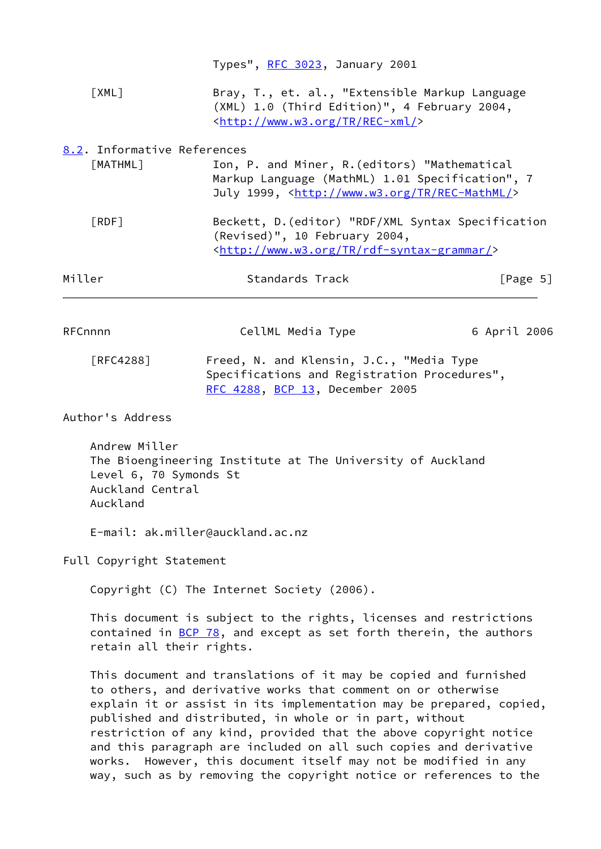<span id="page-5-2"></span><span id="page-5-1"></span><span id="page-5-0"></span>

|                                                                         | Types", RFC 3023, January 2001                                                                                                                                                                                                                                                                                                                                                                               |                                |
|-------------------------------------------------------------------------|--------------------------------------------------------------------------------------------------------------------------------------------------------------------------------------------------------------------------------------------------------------------------------------------------------------------------------------------------------------------------------------------------------------|--------------------------------|
| [XML]                                                                   | Bray, T., et. al., "Extensible Markup Language<br>(XML) 1.0 (Third Edition)", 4 February 2004,<br><http: rec-xml="" tr="" www.w3.org=""></http:>                                                                                                                                                                                                                                                             |                                |
| 8.2. Informative References<br>[MATHML]                                 | Ion, P. and Miner, R. (editors) "Mathematical<br>Markup Language (MathML) 1.01 Specification", 7<br>July 1999, <http: rec-mathml="" tr="" www.w3.org=""></http:>                                                                                                                                                                                                                                             |                                |
| [RDF]                                                                   | Beckett, D. (editor) "RDF/XML Syntax Specification<br>(Revised)", 10 February 2004,<br><http: rdf-syntax-grammar="" tr="" www.w3.org=""></http:>                                                                                                                                                                                                                                                             |                                |
| Miller                                                                  | Standards Track                                                                                                                                                                                                                                                                                                                                                                                              | $\lceil \text{Page } 5 \rceil$ |
| RFCnnnn                                                                 | CellML Media Type                                                                                                                                                                                                                                                                                                                                                                                            | 6 April 2006                   |
| <b>FRFC4288</b> ]                                                       | Freed, N. and Klensin, J.C., "Media Type<br>Specifications and Registration Procedures",<br>RFC 4288, BCP 13, December 2005                                                                                                                                                                                                                                                                                  |                                |
| Author's Address                                                        |                                                                                                                                                                                                                                                                                                                                                                                                              |                                |
| Andrew Miller<br>Level 6, 70 Symonds St<br>Auckland Central<br>Auckland | The Bioengineering Institute at The University of Auckland                                                                                                                                                                                                                                                                                                                                                   |                                |
|                                                                         | E-mail: ak.miller@auckland.ac.nz                                                                                                                                                                                                                                                                                                                                                                             |                                |
| Full Copyright Statement                                                |                                                                                                                                                                                                                                                                                                                                                                                                              |                                |
|                                                                         | Copyright (C) The Internet Society (2006).                                                                                                                                                                                                                                                                                                                                                                   |                                |
| retain all their rights.                                                | This document is subject to the rights, licenses and restrictions<br>contained in BCP 78, and except as set forth therein, the authors                                                                                                                                                                                                                                                                       |                                |
|                                                                         | This document and translations of it may be copied and furnished<br>to others, and derivative works that comment on or otherwise<br>explain it or assist in its implementation may be prepared, copied,<br>published and distributed, in whole or in part, without<br>restriction of any kind, provided that the above copyright notice<br>and this paragraph are included on all such copies and derivative |                                |

works. However, this document itself may not be modified in any

way, such as by removing the copyright notice or references to the